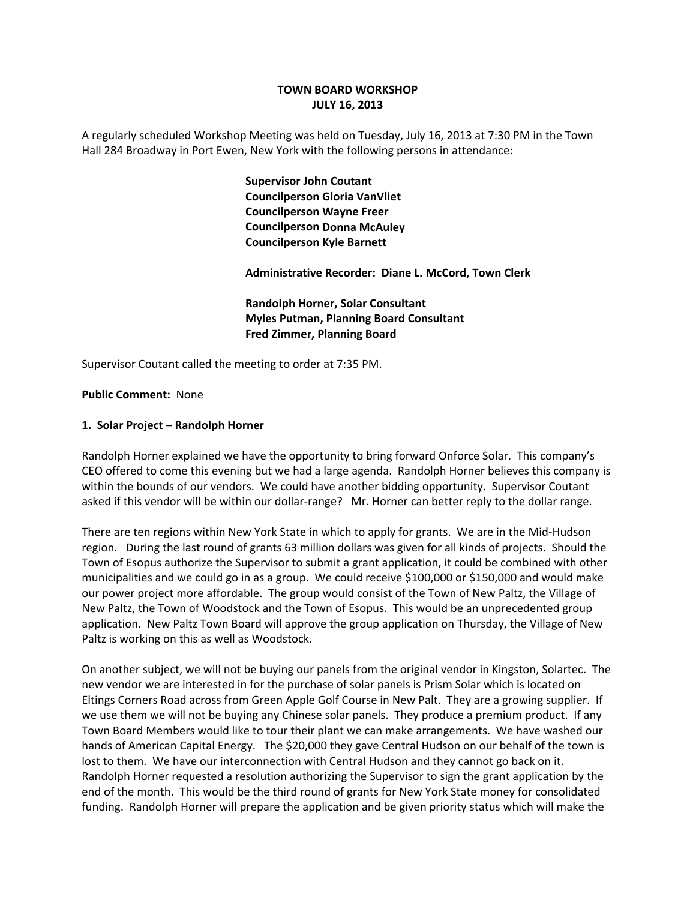# **TOWN BOARD WORKSHOP JULY 16, 2013**

A regularly scheduled Workshop Meeting was held on Tuesday, July 16, 2013 at 7:30 PM in the Town Hall 284 Broadway in Port Ewen, New York with the following persons in attendance:

> **Supervisor John Coutant Councilperson Gloria VanVliet Councilperson Wayne Freer Councilperson Donna McAuley Councilperson Kyle Barnett**

 **Administrative Recorder: Diane L. McCord, Town Clerk**

 **Randolph Horner, Solar Consultant Myles Putman, Planning Board Consultant Fred Zimmer, Planning Board**

Supervisor Coutant called the meeting to order at 7:35 PM.

#### **Public Comment: None**

#### **1. Solar Project – Randolph Horner**

Randolph Horner explained we have the opportunity to bring forward Onforce Solar. This company's CEO offered to come this evening but we had a large agenda. Randolph Horner believes this company is within the bounds of our vendors. We could have another bidding opportunity. Supervisor Coutant asked if this vendor will be within our dollar-range? Mr. Horner can better reply to the dollar range.

There are ten regions within New York State in which to apply for grants. We are in the Mid‐Hudson region. During the last round of grants 63 million dollars was given for all kinds of projects. Should the Town of Esopus authorize the Supervisor to submit a grant application, it could be combined with other municipalities and we could go in as a group. We could receive \$100,000 or \$150,000 and would make our power project more affordable. The group would consist of the Town of New Paltz, the Village of New Paltz, the Town of Woodstock and the Town of Esopus. This would be an unprecedented group application. New Paltz Town Board will approve the group application on Thursday, the Village of New Paltz is working on this as well as Woodstock.

On another subject, we will not be buying our panels from the original vendor in Kingston, Solartec. The new vendor we are interested in for the purchase of solar panels is Prism Solar which is located on Eltings Corners Road across from Green Apple Golf Course in New Palt. They are a growing supplier. If we use them we will not be buying any Chinese solar panels. They produce a premium product. If any Town Board Members would like to tour their plant we can make arrangements. We have washed our hands of American Capital Energy. The \$20,000 they gave Central Hudson on our behalf of the town is lost to them. We have our interconnection with Central Hudson and they cannot go back on it. Randolph Horner requested a resolution authorizing the Supervisor to sign the grant application by the end of the month. This would be the third round of grants for New York State money for consolidated funding. Randolph Horner will prepare the application and be given priority status which will make the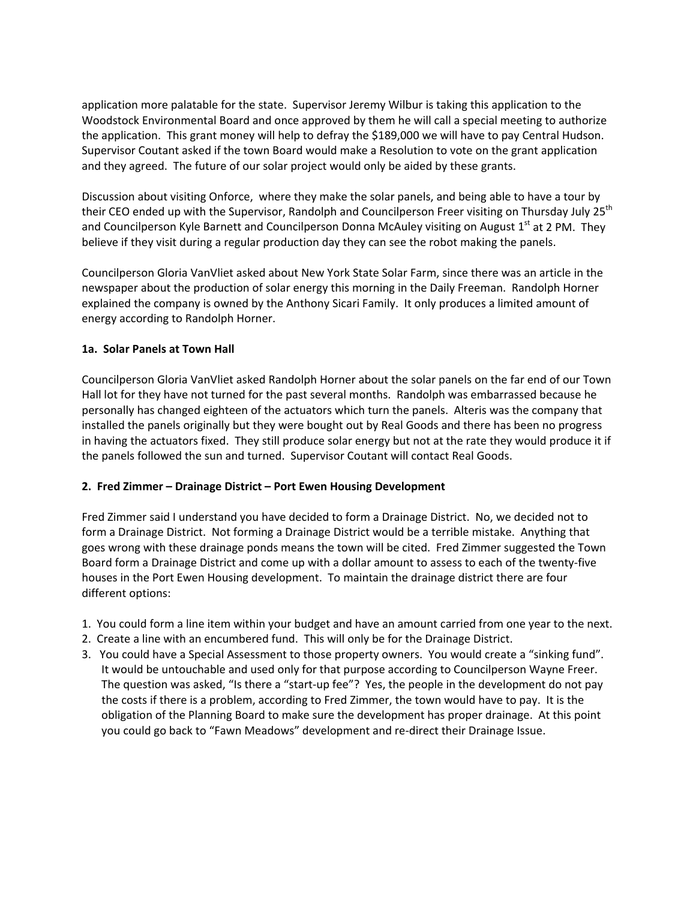application more palatable for the state. Supervisor Jeremy Wilbur is taking this application to the Woodstock Environmental Board and once approved by them he will call a special meeting to authorize the application. This grant money will help to defray the \$189,000 we will have to pay Central Hudson. Supervisor Coutant asked if the town Board would make a Resolution to vote on the grant application and they agreed. The future of our solar project would only be aided by these grants.

Discussion about visiting Onforce, where they make the solar panels, and being able to have a tour by their CEO ended up with the Supervisor, Randolph and Councilperson Freer visiting on Thursday July 25<sup>th</sup> and Councilperson Kyle Barnett and Councilperson Donna McAuley visiting on August  $1<sup>st</sup>$  at 2 PM. They believe if they visit during a regular production day they can see the robot making the panels.

Councilperson Gloria VanVliet asked about New York State Solar Farm, since there was an article in the newspaper about the production of solar energy this morning in the Daily Freeman. Randolph Horner explained the company is owned by the Anthony Sicari Family. It only produces a limited amount of energy according to Randolph Horner.

### **1a. Solar Panels at Town Hall**

Councilperson Gloria VanVliet asked Randolph Horner about the solar panels on the far end of our Town Hall lot for they have not turned for the past several months. Randolph was embarrassed because he personally has changed eighteen of the actuators which turn the panels. Alteris was the company that installed the panels originally but they were bought out by Real Goods and there has been no progress in having the actuators fixed. They still produce solar energy but not at the rate they would produce it if the panels followed the sun and turned. Supervisor Coutant will contact Real Goods.

### **2. Fred Zimmer – Drainage District – Port Ewen Housing Development**

Fred Zimmer said I understand you have decided to form a Drainage District. No, we decided not to form a Drainage District. Not forming a Drainage District would be a terrible mistake. Anything that goes wrong with these drainage ponds means the town will be cited. Fred Zimmer suggested the Town Board form a Drainage District and come up with a dollar amount to assess to each of the twenty‐five houses in the Port Ewen Housing development. To maintain the drainage district there are four different options:

- 1. You could form a line item within your budget and have an amount carried from one year to the next.
- 2. Create a line with an encumbered fund. This will only be for the Drainage District.
- 3. You could have a Special Assessment to those property owners. You would create a "sinking fund". It would be untouchable and used only for that purpose according to Councilperson Wayne Freer. The question was asked, "Is there a "start-up fee"? Yes, the people in the development do not pay the costs if there is a problem, according to Fred Zimmer, the town would have to pay. It is the obligation of the Planning Board to make sure the development has proper drainage. At this point you could go back to "Fawn Meadows" development and re‐direct their Drainage Issue.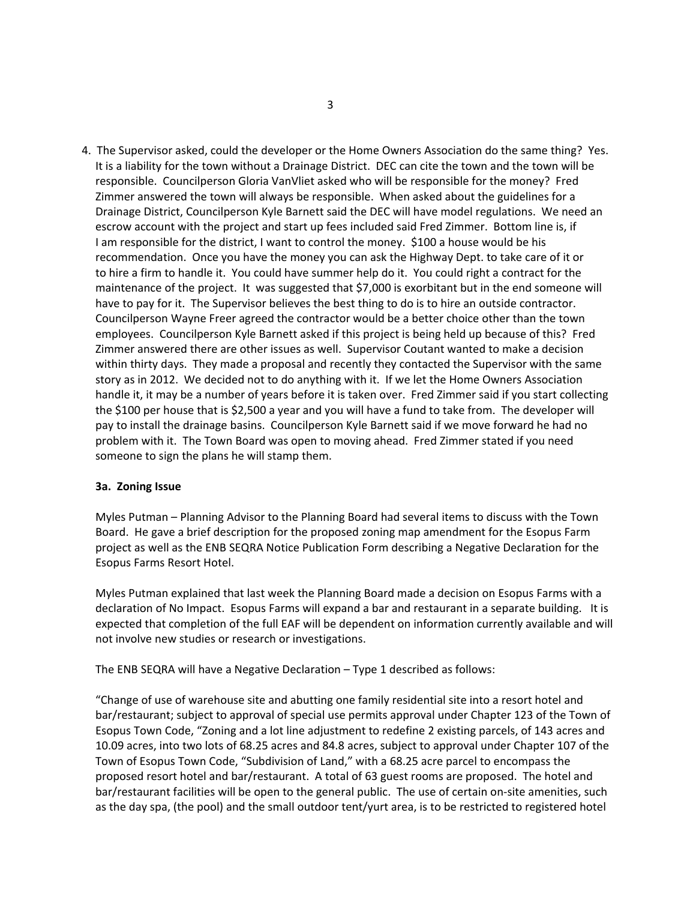4. The Supervisor asked, could the developer or the Home Owners Association do the same thing? Yes. It is a liability for the town without a Drainage District. DEC can cite the town and the town will be responsible. Councilperson Gloria VanVliet asked who will be responsible for the money? Fred Zimmer answered the town will always be responsible. When asked about the guidelines for a Drainage District, Councilperson Kyle Barnett said the DEC will have model regulations. We need an escrow account with the project and start up fees included said Fred Zimmer. Bottom line is, if I am responsible for the district, I want to control the money. \$100 a house would be his recommendation. Once you have the money you can ask the Highway Dept. to take care of it or to hire a firm to handle it. You could have summer help do it. You could right a contract for the maintenance of the project. It was suggested that \$7,000 is exorbitant but in the end someone will have to pay for it. The Supervisor believes the best thing to do is to hire an outside contractor. Councilperson Wayne Freer agreed the contractor would be a better choice other than the town employees. Councilperson Kyle Barnett asked if this project is being held up because of this? Fred Zimmer answered there are other issues as well. Supervisor Coutant wanted to make a decision within thirty days. They made a proposal and recently they contacted the Supervisor with the same story as in 2012. We decided not to do anything with it. If we let the Home Owners Association handle it, it may be a number of years before it is taken over. Fred Zimmer said if you start collecting the \$100 per house that is \$2,500 a year and you will have a fund to take from. The developer will pay to install the drainage basins. Councilperson Kyle Barnett said if we move forward he had no problem with it. The Town Board was open to moving ahead. Fred Zimmer stated if you need someone to sign the plans he will stamp them.

#### **3a. Zoning Issue**

Myles Putman – Planning Advisor to the Planning Board had several items to discuss with the Town Board. He gave a brief description for the proposed zoning map amendment for the Esopus Farm project as well as the ENB SEQRA Notice Publication Form describing a Negative Declaration for the Esopus Farms Resort Hotel.

Myles Putman explained that last week the Planning Board made a decision on Esopus Farms with a declaration of No Impact. Esopus Farms will expand a bar and restaurant in a separate building. It is expected that completion of the full EAF will be dependent on information currently available and will not involve new studies or research or investigations.

The ENB SEQRA will have a Negative Declaration – Type 1 described as follows:

"Change of use of warehouse site and abutting one family residential site into a resort hotel and bar/restaurant; subject to approval of special use permits approval under Chapter 123 of the Town of Esopus Town Code, "Zoning and a lot line adjustment to redefine 2 existing parcels, of 143 acres and 10.09 acres, into two lots of 68.25 acres and 84.8 acres, subject to approval under Chapter 107 of the Town of Esopus Town Code, "Subdivision of Land," with a 68.25 acre parcel to encompass the proposed resort hotel and bar/restaurant. A total of 63 guest rooms are proposed. The hotel and bar/restaurant facilities will be open to the general public. The use of certain on‐site amenities, such as the day spa, (the pool) and the small outdoor tent/yurt area, is to be restricted to registered hotel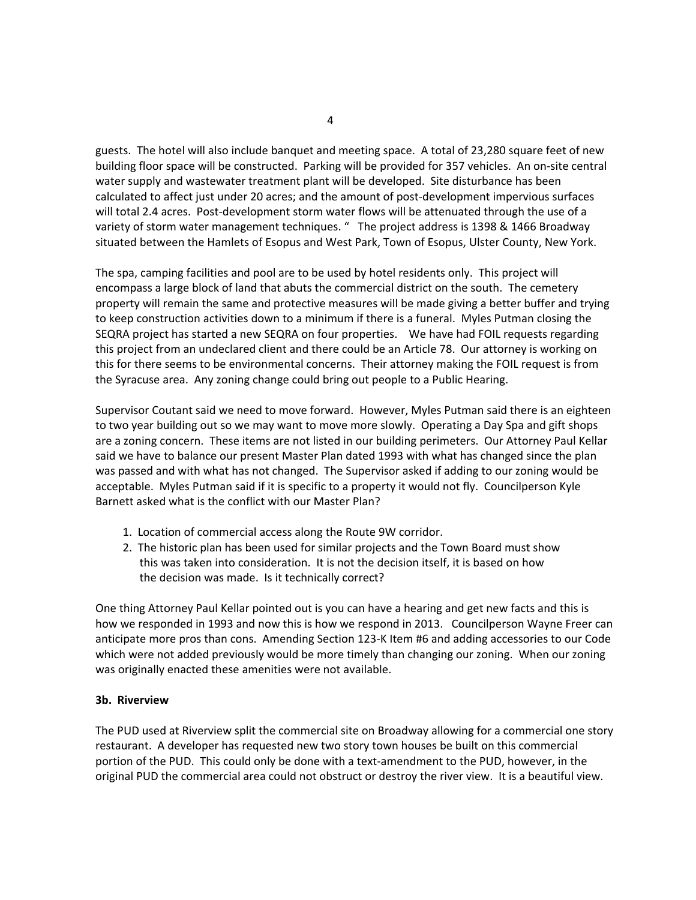guests. The hotel will also include banquet and meeting space. A total of 23,280 square feet of new building floor space will be constructed. Parking will be provided for 357 vehicles. An on‐site central water supply and wastewater treatment plant will be developed. Site disturbance has been calculated to affect just under 20 acres; and the amount of post‐development impervious surfaces will total 2.4 acres. Post-development storm water flows will be attenuated through the use of a variety of storm water management techniques. " The project address is 1398 & 1466 Broadway situated between the Hamlets of Esopus and West Park, Town of Esopus, Ulster County, New York.

The spa, camping facilities and pool are to be used by hotel residents only. This project will encompass a large block of land that abuts the commercial district on the south. The cemetery property will remain the same and protective measures will be made giving a better buffer and trying to keep construction activities down to a minimum if there is a funeral. Myles Putman closing the SEQRA project has started a new SEQRA on four properties. We have had FOIL requests regarding this project from an undeclared client and there could be an Article 78. Our attorney is working on this for there seems to be environmental concerns. Their attorney making the FOIL request is from the Syracuse area. Any zoning change could bring out people to a Public Hearing.

Supervisor Coutant said we need to move forward. However, Myles Putman said there is an eighteen to two year building out so we may want to move more slowly. Operating a Day Spa and gift shops are a zoning concern. These items are not listed in our building perimeters. Our Attorney Paul Kellar said we have to balance our present Master Plan dated 1993 with what has changed since the plan was passed and with what has not changed. The Supervisor asked if adding to our zoning would be acceptable. Myles Putman said if it is specific to a property it would not fly. Councilperson Kyle Barnett asked what is the conflict with our Master Plan?

- 1. Location of commercial access along the Route 9W corridor.
- 2. The historic plan has been used for similar projects and the Town Board must show this was taken into consideration. It is not the decision itself, it is based on how the decision was made. Is it technically correct?

One thing Attorney Paul Kellar pointed out is you can have a hearing and get new facts and this is how we responded in 1993 and now this is how we respond in 2013. Councilperson Wayne Freer can anticipate more pros than cons. Amending Section 123‐K Item #6 and adding accessories to our Code which were not added previously would be more timely than changing our zoning. When our zoning was originally enacted these amenities were not available.

### **3b. Riverview**

The PUD used at Riverview split the commercial site on Broadway allowing for a commercial one story restaurant. A developer has requested new two story town houses be built on this commercial portion of the PUD. This could only be done with a text-amendment to the PUD, however, in the original PUD the commercial area could not obstruct or destroy the river view. It is a beautiful view.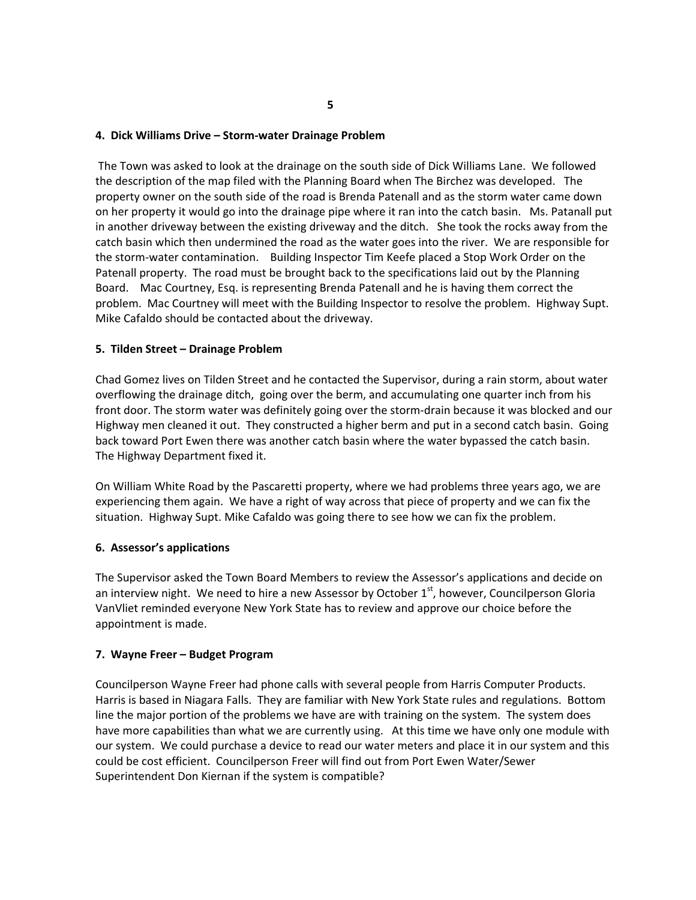#### **4. Dick Williams Drive – Storm‐water Drainage Problem**

The Town was asked to look at the drainage on the south side of Dick Williams Lane. We followed the description of the map filed with the Planning Board when The Birchez was developed. The property owner on the south side of the road is Brenda Patenall and as the storm water came down on her property it would go into the drainage pipe where it ran into the catch basin. Ms. Patanall put in another driveway between the existing driveway and the ditch. She took the rocks away from the catch basin which then undermined the road as the water goes into the river. We are responsible for the storm‐water contamination. Building Inspector Tim Keefe placed a Stop Work Order on the Patenall property. The road must be brought back to the specifications laid out by the Planning Board. Mac Courtney, Esq. is representing Brenda Patenall and he is having them correct the problem. Mac Courtney will meet with the Building Inspector to resolve the problem. Highway Supt. Mike Cafaldo should be contacted about the driveway.

### **5. Tilden Street – Drainage Problem**

Chad Gomez lives on Tilden Street and he contacted the Supervisor, during a rain storm, about water overflowing the drainage ditch, going over the berm, and accumulating one quarter inch from his front door. The storm water was definitely going over the storm-drain because it was blocked and our Highway men cleaned it out. They constructed a higher berm and put in a second catch basin. Going back toward Port Ewen there was another catch basin where the water bypassed the catch basin. The Highway Department fixed it.

On William White Road by the Pascaretti property, where we had problems three years ago, we are experiencing them again. We have a right of way across that piece of property and we can fix the situation. Highway Supt. Mike Cafaldo was going there to see how we can fix the problem.

### **6. Assessor's applications**

The Supervisor asked the Town Board Members to review the Assessor's applications and decide on an interview night. We need to hire a new Assessor by October  $1<sup>st</sup>$ , however, Councilperson Gloria VanVliet reminded everyone New York State has to review and approve our choice before the appointment is made.

### **7. Wayne Freer – Budget Program**

Councilperson Wayne Freer had phone calls with several people from Harris Computer Products. Harris is based in Niagara Falls. They are familiar with New York State rules and regulations. Bottom line the major portion of the problems we have are with training on the system. The system does have more capabilities than what we are currently using. At this time we have only one module with our system. We could purchase a device to read our water meters and place it in our system and this could be cost efficient. Councilperson Freer will find out from Port Ewen Water/Sewer Superintendent Don Kiernan if the system is compatible?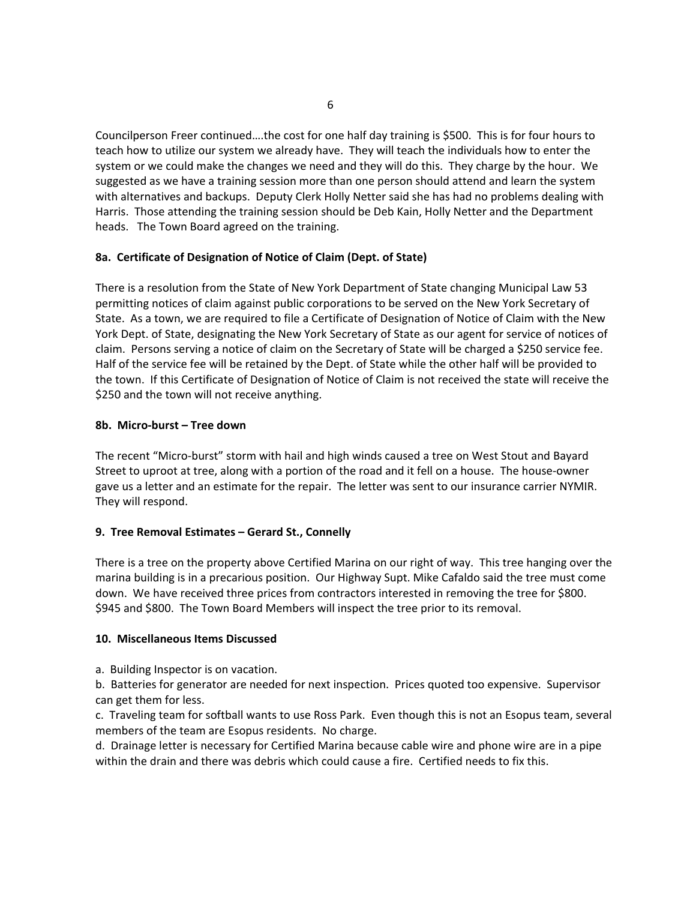Councilperson Freer continued….the cost for one half day training is \$500. This is for four hours to teach how to utilize our system we already have. They will teach the individuals how to enter the system or we could make the changes we need and they will do this. They charge by the hour. We suggested as we have a training session more than one person should attend and learn the system with alternatives and backups. Deputy Clerk Holly Netter said she has had no problems dealing with Harris. Those attending the training session should be Deb Kain, Holly Netter and the Department heads. The Town Board agreed on the training.

### **8a. Certificate of Designation of Notice of Claim (Dept. of State)**

There is a resolution from the State of New York Department of State changing Municipal Law 53 permitting notices of claim against public corporations to be served on the New York Secretary of State. As a town, we are required to file a Certificate of Designation of Notice of Claim with the New York Dept. of State, designating the New York Secretary of State as our agent for service of notices of claim. Persons serving a notice of claim on the Secretary of State will be charged a \$250 service fee. Half of the service fee will be retained by the Dept. of State while the other half will be provided to the town. If this Certificate of Designation of Notice of Claim is not received the state will receive the \$250 and the town will not receive anything.

# **8b. Micro‐burst – Tree down**

The recent "Micro‐burst" storm with hail and high winds caused a tree on West Stout and Bayard Street to uproot at tree, along with a portion of the road and it fell on a house. The house‐owner gave us a letter and an estimate for the repair. The letter was sent to our insurance carrier NYMIR. They will respond.

# **9. Tree Removal Estimates – Gerard St., Connelly**

There is a tree on the property above Certified Marina on our right of way. This tree hanging over the marina building is in a precarious position. Our Highway Supt. Mike Cafaldo said the tree must come down. We have received three prices from contractors interested in removing the tree for \$800. \$945 and \$800. The Town Board Members will inspect the tree prior to its removal.

### **10. Miscellaneous Items Discussed**

a. Building Inspector is on vacation.

b. Batteries for generator are needed for next inspection. Prices quoted too expensive. Supervisor can get them for less.

c. Traveling team for softball wants to use Ross Park. Even though this is not an Esopus team, several members of the team are Esopus residents. No charge.

d. Drainage letter is necessary for Certified Marina because cable wire and phone wire are in a pipe within the drain and there was debris which could cause a fire. Certified needs to fix this.